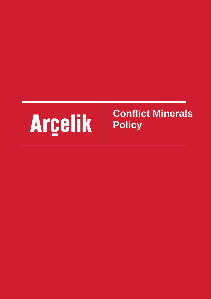## Arcelik

## **Conflict Minerals Policy**